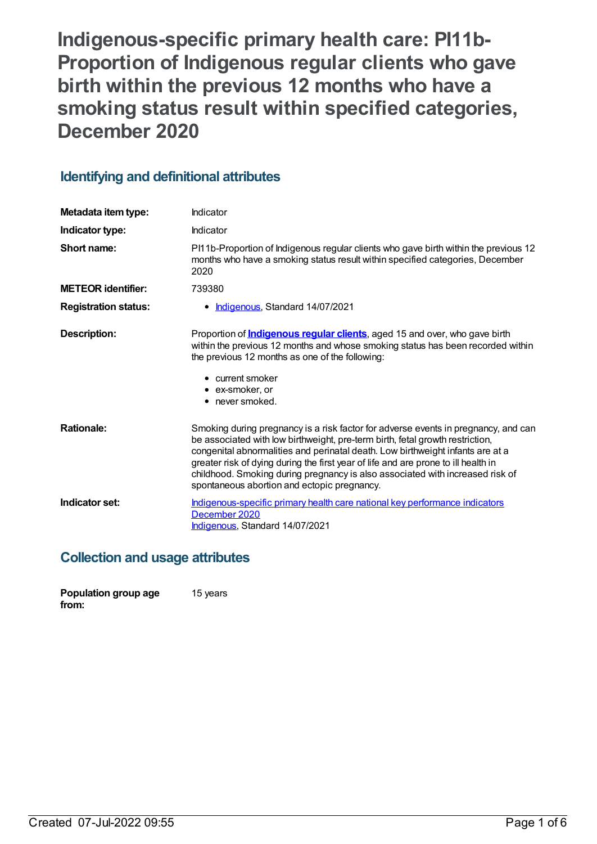**Indigenous-specific primary health care: PI11b-Proportion of Indigenous regular clients who gave birth within the previous 12 months who have a smoking status result within specified categories, December 2020**

# **Identifying and definitional attributes**

| Metadata item type:         | Indicator                                                                                                                                                                                                                                                                                                                                                                                                                                                                   |
|-----------------------------|-----------------------------------------------------------------------------------------------------------------------------------------------------------------------------------------------------------------------------------------------------------------------------------------------------------------------------------------------------------------------------------------------------------------------------------------------------------------------------|
| Indicator type:             | Indicator                                                                                                                                                                                                                                                                                                                                                                                                                                                                   |
| Short name:                 | Pl11b-Proportion of Indigenous regular clients who gave birth within the previous 12<br>months who have a smoking status result within specified categories, December<br>2020                                                                                                                                                                                                                                                                                               |
| <b>METEOR</b> identifier:   | 739380                                                                                                                                                                                                                                                                                                                                                                                                                                                                      |
| <b>Registration status:</b> | • Indigenous, Standard 14/07/2021                                                                                                                                                                                                                                                                                                                                                                                                                                           |
| Description:                | Proportion of <i>Indigenous regular clients</i> , aged 15 and over, who gave birth<br>within the previous 12 months and whose smoking status has been recorded within<br>the previous 12 months as one of the following:<br>$\bullet$ current smoker<br>$\bullet$ ex-smoker, or<br>• never smoked.                                                                                                                                                                          |
| <b>Rationale:</b>           | Smoking during pregnancy is a risk factor for adverse events in pregnancy, and can<br>be associated with low birthweight, pre-term birth, fetal growth restriction,<br>congenital abnormalities and perinatal death. Low birthweight infants are at a<br>greater risk of dying during the first year of life and are prone to ill health in<br>childhood. Smoking during pregnancy is also associated with increased risk of<br>spontaneous abortion and ectopic pregnancy. |
| Indicator set:              | Indigenous-specific primary health care national key performance indicators<br>December 2020<br>Indigenous, Standard 14/07/2021                                                                                                                                                                                                                                                                                                                                             |

# **Collection and usage attributes**

| Population group age | 15 years |
|----------------------|----------|
| from:                |          |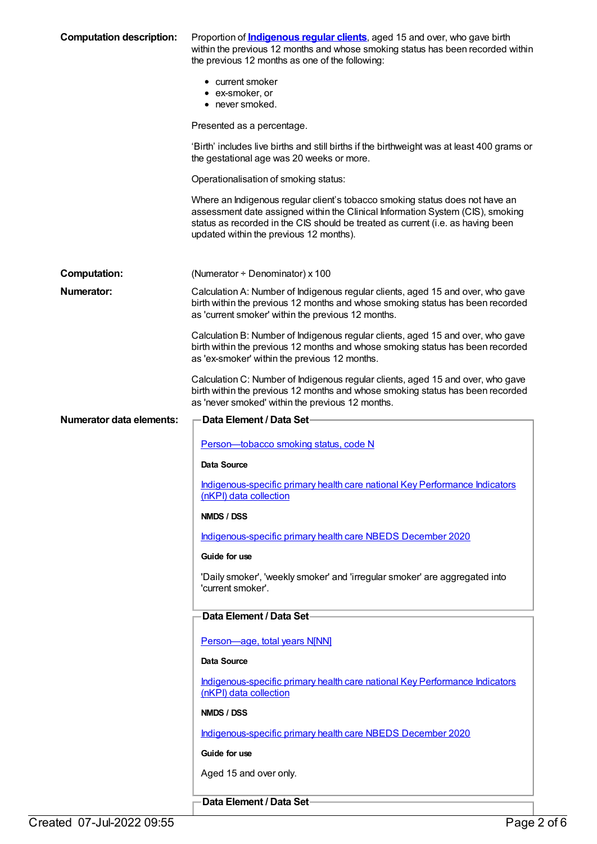| <b>Computation description:</b> | Proportion of <b>Indigenous regular clients</b> , aged 15 and over, who gave birth<br>within the previous 12 months and whose smoking status has been recorded within<br>the previous 12 months as one of the following:                                                                     |
|---------------------------------|----------------------------------------------------------------------------------------------------------------------------------------------------------------------------------------------------------------------------------------------------------------------------------------------|
|                                 | • current smoker<br>• ex-smoker, or<br>• never smoked.                                                                                                                                                                                                                                       |
|                                 | Presented as a percentage.                                                                                                                                                                                                                                                                   |
|                                 | 'Birth' includes live births and still births if the birthweight was at least 400 grams or<br>the gestational age was 20 weeks or more.                                                                                                                                                      |
|                                 | Operationalisation of smoking status:                                                                                                                                                                                                                                                        |
|                                 | Where an Indigenous regular client's tobacco smoking status does not have an<br>assessment date assigned within the Clinical Information System (CIS), smoking<br>status as recorded in the CIS should be treated as current (i.e. as having been<br>updated within the previous 12 months). |
| <b>Computation:</b>             | (Numerator $\div$ Denominator) x 100                                                                                                                                                                                                                                                         |
| Numerator:                      | Calculation A: Number of Indigenous regular clients, aged 15 and over, who gave<br>birth within the previous 12 months and whose smoking status has been recorded<br>as 'current smoker' within the previous 12 months.                                                                      |
|                                 | Calculation B: Number of Indigenous regular clients, aged 15 and over, who gave<br>birth within the previous 12 months and whose smoking status has been recorded<br>as 'ex-smoker' within the previous 12 months.                                                                           |
|                                 | Calculation C: Number of Indigenous regular clients, aged 15 and over, who gave<br>birth within the previous 12 months and whose smoking status has been recorded<br>as 'never smoked' within the previous 12 months.                                                                        |
| <b>Numerator data elements:</b> | <b>Data Element / Data Set-</b>                                                                                                                                                                                                                                                              |
|                                 | Person-tobacco smoking status, code N                                                                                                                                                                                                                                                        |
|                                 | Data Source                                                                                                                                                                                                                                                                                  |
|                                 | Indigenous-specific primary health care national Key Performance Indicators<br>(nKPI) data collection                                                                                                                                                                                        |
|                                 | NMDS / DSS                                                                                                                                                                                                                                                                                   |
|                                 | Indigenous-specific primary health care NBEDS December 2020                                                                                                                                                                                                                                  |
|                                 | Guide for use                                                                                                                                                                                                                                                                                |
|                                 | 'Daily smoker', 'weekly smoker' and 'irregular smoker' are aggregated into<br>'current smoker'.                                                                                                                                                                                              |
|                                 | Data Element / Data Set-                                                                                                                                                                                                                                                                     |
|                                 | Person-age, total years N[NN]                                                                                                                                                                                                                                                                |
|                                 | Data Source                                                                                                                                                                                                                                                                                  |
|                                 | Indigenous-specific primary health care national Key Performance Indicators<br>(nKPI) data collection                                                                                                                                                                                        |
|                                 | NMDS / DSS                                                                                                                                                                                                                                                                                   |
|                                 | Indigenous-specific primary health care NBEDS December 2020                                                                                                                                                                                                                                  |
|                                 | Guide for use                                                                                                                                                                                                                                                                                |
|                                 | Aged 15 and over only.                                                                                                                                                                                                                                                                       |
|                                 | Data Element / Data Set-                                                                                                                                                                                                                                                                     |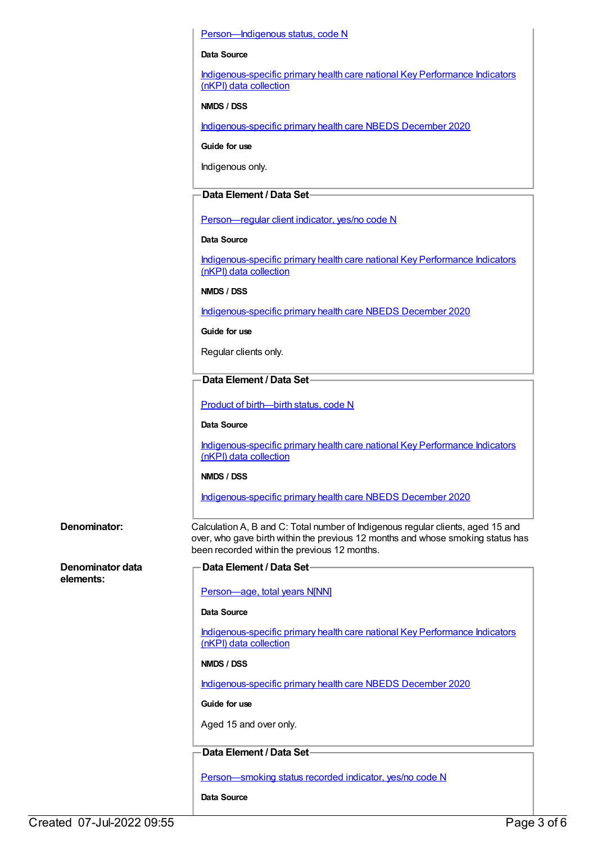#### Person-Indigenous status, code N

#### **Data Source**

[Indigenous-specific](https://meteor.aihw.gov.au/content/737914) primary health care national Key Performance Indicators (nKPI) data collection

#### **NMDS / DSS**

[Indigenous-specific](https://meteor.aihw.gov.au/content/738532) primary health care NBEDS December 2020

**Guide for use**

Indigenous only.

#### **Data Element / Data Set**

[Person—regular](https://meteor.aihw.gov.au/content/686291) client indicator, yes/no code N

#### **Data Source**

[Indigenous-specific](https://meteor.aihw.gov.au/content/737914) primary health care national Key Performance Indicators (nKPI) data collection

#### **NMDS / DSS**

[Indigenous-specific](https://meteor.aihw.gov.au/content/738532) primary health care NBEDS December 2020

**Guide for use**

Regular clients only.

#### **Data Element / Data Set**

Product of [birth—birth](https://meteor.aihw.gov.au/content/732895) status, code N

**Data Source**

[Indigenous-specific](https://meteor.aihw.gov.au/content/737914) primary health care national Key Performance Indicators (nKPI) data collection

#### **NMDS / DSS**

[Indigenous-specific](https://meteor.aihw.gov.au/content/738532) primary health care NBEDS December 2020

**Denominator data elements:**

#### **Denominator:** Calculation A, B and C: Total number of Indigenous regular clients, aged 15 and over, who gave birth within the previous 12 months and whose smoking status has been recorded within the previous 12 months.

**Data Element / Data Set**

[Person—age,](https://meteor.aihw.gov.au/content/303794) total years N[NN]

#### **Data Source**

[Indigenous-specific](https://meteor.aihw.gov.au/content/737914) primary health care national Key Performance Indicators (nKPI) data collection

#### **NMDS / DSS**

[Indigenous-specific](https://meteor.aihw.gov.au/content/738532) primary health care NBEDS December 2020

**Guide for use**

Aged 15 and over only.

#### **Data Element / Data Set**

[Person—smoking](https://meteor.aihw.gov.au/content/441380) status recorded indicator, yes/no code N

**Data Source**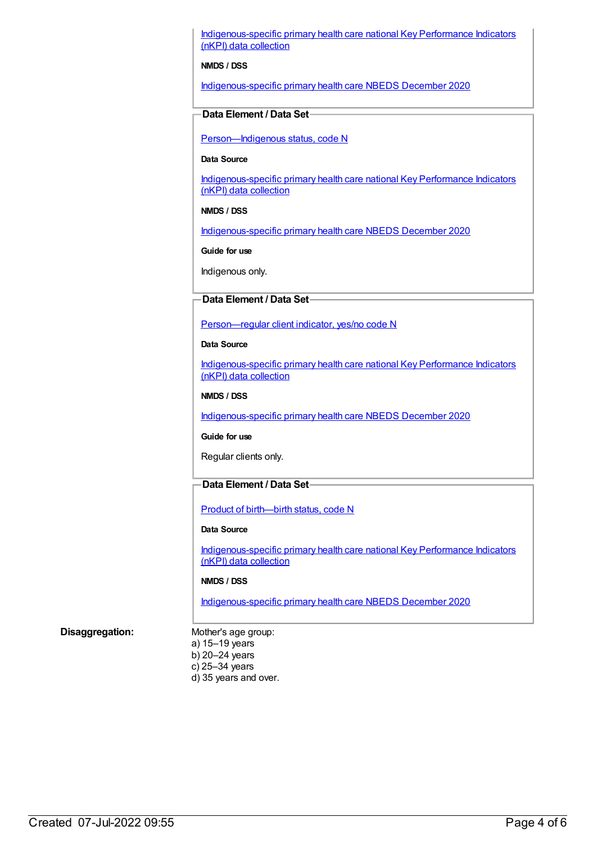[Indigenous-specific](https://meteor.aihw.gov.au/content/737914) primary health care national Key Performance Indicators (nKPI) data collection

#### **NMDS / DSS**

[Indigenous-specific](https://meteor.aihw.gov.au/content/738532) primary health care NBEDS December 2020

#### **Data Element / Data Set**

[Person—Indigenous](https://meteor.aihw.gov.au/content/602543) status, code N

#### **Data Source**

[Indigenous-specific](https://meteor.aihw.gov.au/content/737914) primary health care national Key Performance Indicators (nKPI) data collection

#### **NMDS / DSS**

[Indigenous-specific](https://meteor.aihw.gov.au/content/738532) primary health care NBEDS December 2020

**Guide for use**

Indigenous only.

#### **Data Element / Data Set**

Person-regular client indicator, yes/no code N

#### **Data Source**

[Indigenous-specific](https://meteor.aihw.gov.au/content/737914) primary health care national Key Performance Indicators (nKPI) data collection

#### **NMDS / DSS**

[Indigenous-specific](https://meteor.aihw.gov.au/content/738532) primary health care NBEDS December 2020

#### **Guide for use**

Regular clients only.

### **Data Element / Data Set**

Product of [birth—birth](https://meteor.aihw.gov.au/content/695437) status, code N

#### **Data Source**

[Indigenous-specific](https://meteor.aihw.gov.au/content/737914) primary health care national Key Performance Indicators (nKPI) data collection

#### **NMDS / DSS**

[Indigenous-specific](https://meteor.aihw.gov.au/content/738532) primary health care NBEDS December 2020

#### **Disaggregation:** Mother's age group:

a) 15–19 years b) 20–24 years c) 25–34 years d) 35 years and over.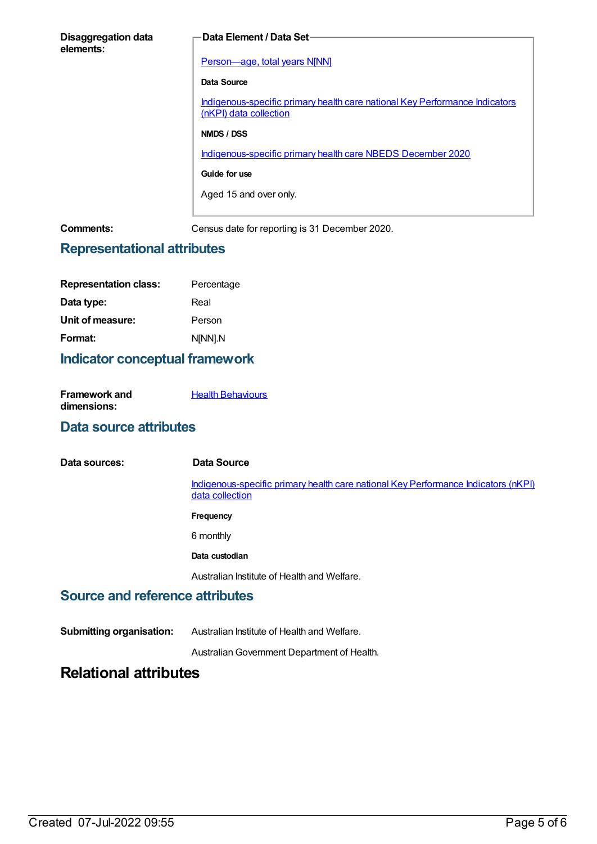| <b>Disaggregation data</b><br>elements: | Data Element / Data Set-                                                                              |
|-----------------------------------------|-------------------------------------------------------------------------------------------------------|
|                                         |                                                                                                       |
|                                         | Person-age, total years N[NN]                                                                         |
|                                         | Data Source                                                                                           |
|                                         | Indigenous-specific primary health care national Key Performance Indicators<br>(nKPI) data collection |
|                                         | NMDS / DSS                                                                                            |
|                                         | Indigenous-specific primary health care NBEDS December 2020                                           |
|                                         | Guide for use                                                                                         |
|                                         | Aged 15 and over only.                                                                                |
|                                         |                                                                                                       |
| Comments:                               | Census date for reporting is 31 December 2020.                                                        |

### **Representational attributes**

| <b>Representation class:</b> | Percentage |
|------------------------------|------------|
| Data type:                   | Real       |
| Unit of measure:             | Person     |
| Format:                      | N[NN].N    |

### **Indicator conceptual framework**

| <b>Framework and</b> | <b>Health Behaviours</b> |
|----------------------|--------------------------|
| dimensions:          |                          |

### **Data source attributes**

| Data sources: | Data Source                                                                                           |
|---------------|-------------------------------------------------------------------------------------------------------|
|               | Indigenous-specific primary health care national Key Performance Indicators (nKPI)<br>data collection |
|               | Frequency                                                                                             |
|               | 6 monthly                                                                                             |
|               | Data custodian                                                                                        |
|               | Australian Institute of Health and Welfare.                                                           |

## **Source and reference attributes**

**Submitting organisation:** Australian Institute of Health and Welfare.

AustralianGovernment Department of Health.

# **Relational attributes**